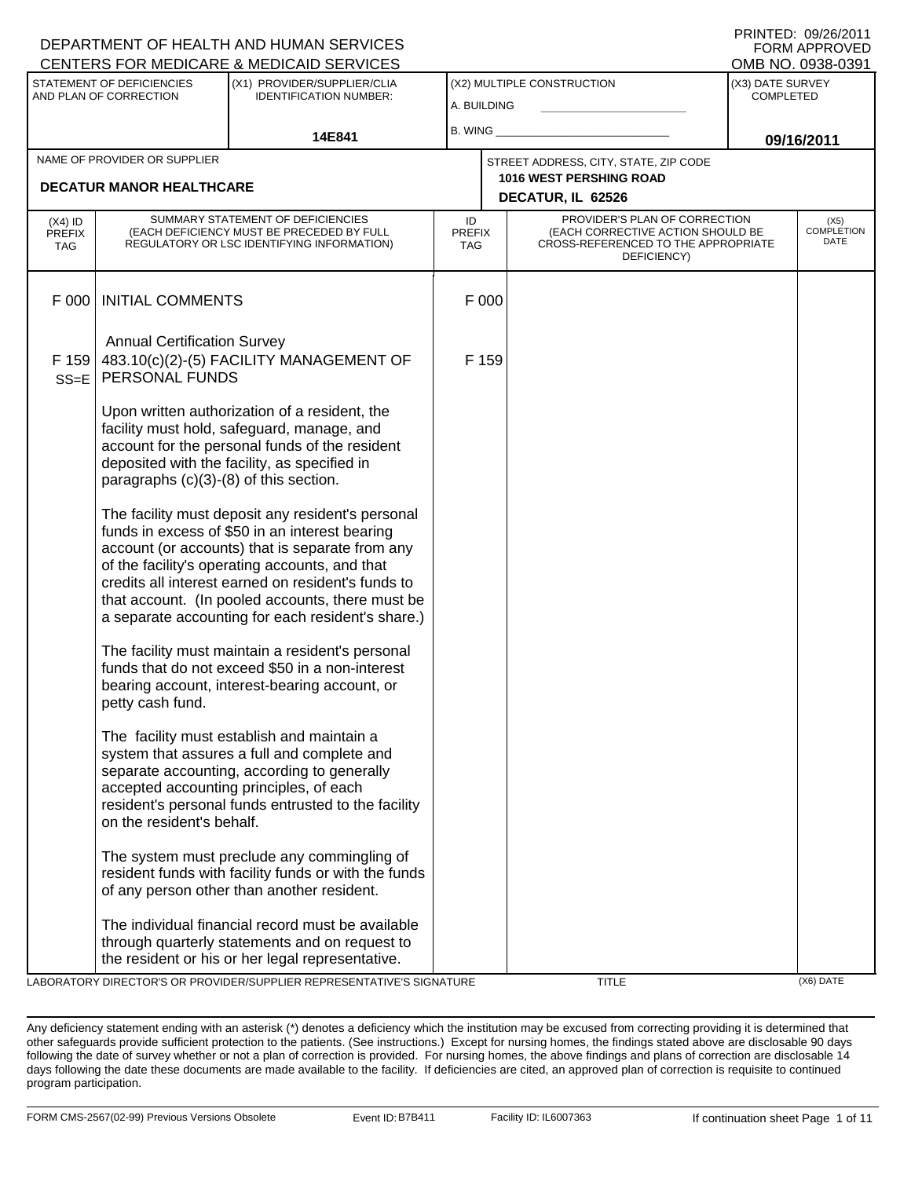|                                        |                                                      | DEPARTMENT OF HEALTH AND HUMAN SERVICES<br>CENTERS FOR MEDICARE & MEDICAID SERVICES                                                                                                                                                                                                                                                                                     |                                   |       |                                                                                                                          |                                      | <b>FORM APPROVED</b><br>OMB NO. 0938-0391 |
|----------------------------------------|------------------------------------------------------|-------------------------------------------------------------------------------------------------------------------------------------------------------------------------------------------------------------------------------------------------------------------------------------------------------------------------------------------------------------------------|-----------------------------------|-------|--------------------------------------------------------------------------------------------------------------------------|--------------------------------------|-------------------------------------------|
|                                        | STATEMENT OF DEFICIENCIES<br>AND PLAN OF CORRECTION  | (X1) PROVIDER/SUPPLIER/CLIA<br><b>IDENTIFICATION NUMBER:</b>                                                                                                                                                                                                                                                                                                            | A. BUILDING                       |       | (X2) MULTIPLE CONSTRUCTION                                                                                               | (X3) DATE SURVEY<br><b>COMPLETED</b> |                                           |
|                                        |                                                      | 14E841                                                                                                                                                                                                                                                                                                                                                                  | B. WING                           |       |                                                                                                                          |                                      | 09/16/2011                                |
|                                        | NAME OF PROVIDER OR SUPPLIER                         |                                                                                                                                                                                                                                                                                                                                                                         |                                   |       | STREET ADDRESS, CITY, STATE, ZIP CODE                                                                                    |                                      |                                           |
|                                        | <b>DECATUR MANOR HEALTHCARE</b>                      |                                                                                                                                                                                                                                                                                                                                                                         |                                   |       | <b>1016 WEST PERSHING ROAD</b><br>DECATUR, IL 62526                                                                      |                                      |                                           |
| (X4) ID<br><b>PREFIX</b><br><b>TAG</b> |                                                      | SUMMARY STATEMENT OF DEFICIENCIES<br>(EACH DEFICIENCY MUST BE PRECEDED BY FULL<br>REGULATORY OR LSC IDENTIFYING INFORMATION)                                                                                                                                                                                                                                            | ID<br><b>PREFIX</b><br><b>TAG</b> |       | PROVIDER'S PLAN OF CORRECTION<br>(EACH CORRECTIVE ACTION SHOULD BE<br>CROSS-REFERENCED TO THE APPROPRIATE<br>DEFICIENCY) |                                      | (X5)<br><b>COMPLETION</b><br>DATE         |
| F 000                                  | <b>INITIAL COMMENTS</b>                              |                                                                                                                                                                                                                                                                                                                                                                         |                                   | F 000 |                                                                                                                          |                                      |                                           |
| F 159<br>$SS = E$                      | <b>Annual Certification Survey</b><br>PERSONAL FUNDS | 483.10(c)(2)-(5) FACILITY MANAGEMENT OF                                                                                                                                                                                                                                                                                                                                 |                                   | F 159 |                                                                                                                          |                                      |                                           |
|                                        | paragraphs $(c)(3)-(8)$ of this section.             | Upon written authorization of a resident, the<br>facility must hold, safeguard, manage, and<br>account for the personal funds of the resident<br>deposited with the facility, as specified in                                                                                                                                                                           |                                   |       |                                                                                                                          |                                      |                                           |
|                                        |                                                      | The facility must deposit any resident's personal<br>funds in excess of \$50 in an interest bearing<br>account (or accounts) that is separate from any<br>of the facility's operating accounts, and that<br>credits all interest earned on resident's funds to<br>that account. (In pooled accounts, there must be<br>a separate accounting for each resident's share.) |                                   |       |                                                                                                                          |                                      |                                           |
|                                        | petty cash fund.                                     | The facility must maintain a resident's personal<br>funds that do not exceed \$50 in a non-interest<br>bearing account, interest-bearing account, or                                                                                                                                                                                                                    |                                   |       |                                                                                                                          |                                      |                                           |
|                                        | on the resident's behalf.                            | The facility must establish and maintain a<br>system that assures a full and complete and<br>separate accounting, according to generally<br>accepted accounting principles, of each<br>resident's personal funds entrusted to the facility                                                                                                                              |                                   |       |                                                                                                                          |                                      |                                           |
|                                        |                                                      | The system must preclude any commingling of<br>resident funds with facility funds or with the funds<br>of any person other than another resident.                                                                                                                                                                                                                       |                                   |       |                                                                                                                          |                                      |                                           |
|                                        |                                                      | The individual financial record must be available<br>through quarterly statements and on request to<br>the resident or his or her legal representative.<br>LARORATORY DIRECTOR'S OR PROVIDER/SLIPPLIER REPRESENTATIVE'S SIGNATURE                                                                                                                                       |                                   |       | TITI E                                                                                                                   |                                      | (X6) DATE                                 |

DRATORY DIRECTOR'S OR PROVIDER/SUPPLIER REPRESENTATIVE'S SIGNATURE TITLE TITLE TITLE THE CX6) DATE:

DEPARTMENT OF HEALTH AND HUMAN SERVICES

PRINTED: 09/26/2011

Any deficiency statement ending with an asterisk (\*) denotes a deficiency which the institution may be excused from correcting providing it is determined that other safeguards provide sufficient protection to the patients. (See instructions.) Except for nursing homes, the findings stated above are disclosable 90 days following the date of survey whether or not a plan of correction is provided. For nursing homes, the above findings and plans of correction are disclosable 14 days following the date these documents are made available to the facility. If deficiencies are cited, an approved plan of correction is requisite to continued program participation.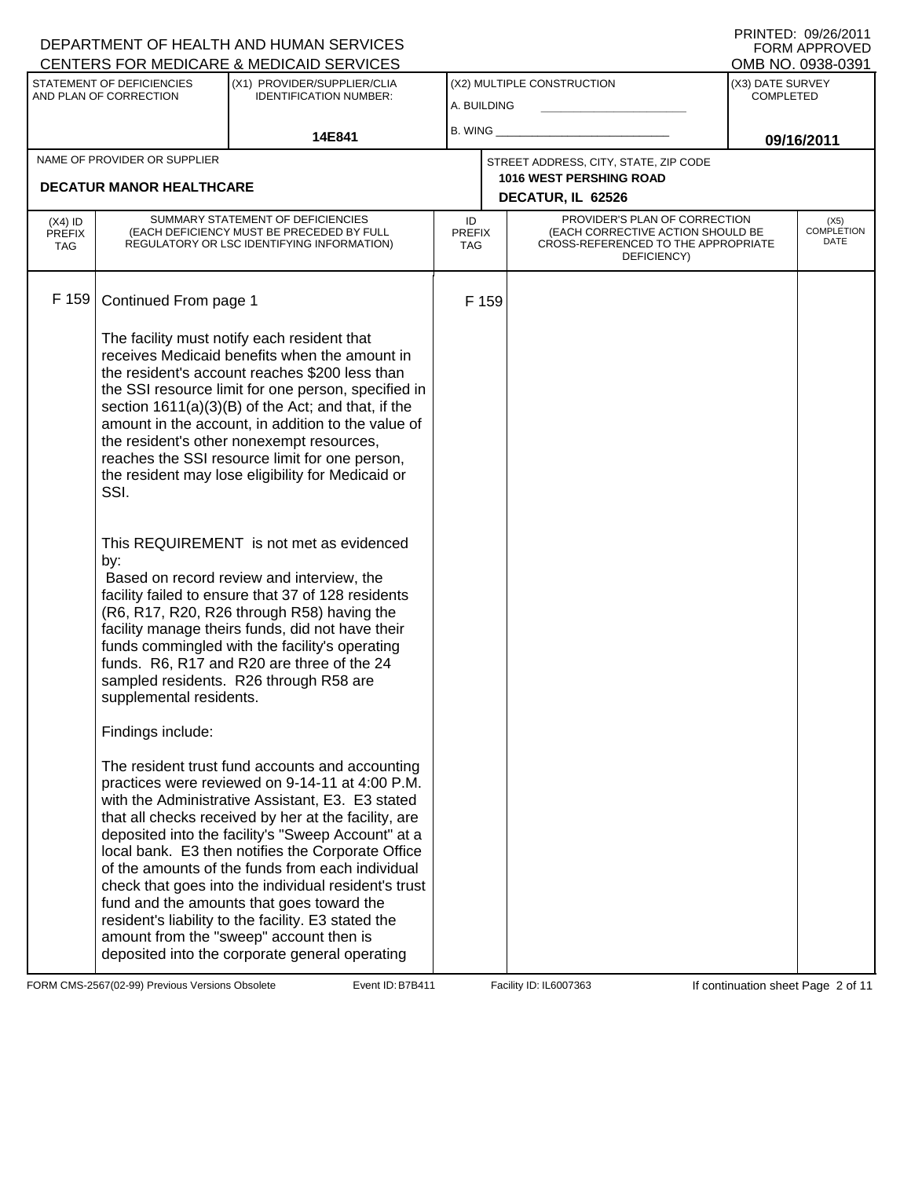|                                          |                                                                                      | DEPARTMENT OF HEALTH AND HUMAN SERVICES<br>CENTERS FOR MEDICARE & MEDICAID SERVICES                                                                                                                                                                                                                                                                                                                                                                                                                                                                                                                                                                                                                                                                                                                                                                                                                                                                                                                                                                                                                                                                                                                                                                                                                       |                                   |       |                                                                                                                          |                                      | FNINIED. VYZVZVII<br>FORM APPROVED<br>OMB NO. 0938-0391 |
|------------------------------------------|--------------------------------------------------------------------------------------|-----------------------------------------------------------------------------------------------------------------------------------------------------------------------------------------------------------------------------------------------------------------------------------------------------------------------------------------------------------------------------------------------------------------------------------------------------------------------------------------------------------------------------------------------------------------------------------------------------------------------------------------------------------------------------------------------------------------------------------------------------------------------------------------------------------------------------------------------------------------------------------------------------------------------------------------------------------------------------------------------------------------------------------------------------------------------------------------------------------------------------------------------------------------------------------------------------------------------------------------------------------------------------------------------------------|-----------------------------------|-------|--------------------------------------------------------------------------------------------------------------------------|--------------------------------------|---------------------------------------------------------|
|                                          | STATEMENT OF DEFICIENCIES<br>AND PLAN OF CORRECTION                                  | (X1) PROVIDER/SUPPLIER/CLIA<br><b>IDENTIFICATION NUMBER:</b>                                                                                                                                                                                                                                                                                                                                                                                                                                                                                                                                                                                                                                                                                                                                                                                                                                                                                                                                                                                                                                                                                                                                                                                                                                              | A. BUILDING                       |       | (X2) MULTIPLE CONSTRUCTION                                                                                               | (X3) DATE SURVEY<br><b>COMPLETED</b> |                                                         |
|                                          |                                                                                      | 14E841                                                                                                                                                                                                                                                                                                                                                                                                                                                                                                                                                                                                                                                                                                                                                                                                                                                                                                                                                                                                                                                                                                                                                                                                                                                                                                    | B. WING                           |       |                                                                                                                          | 09/16/2011                           |                                                         |
|                                          | NAME OF PROVIDER OR SUPPLIER<br><b>DECATUR MANOR HEALTHCARE</b>                      |                                                                                                                                                                                                                                                                                                                                                                                                                                                                                                                                                                                                                                                                                                                                                                                                                                                                                                                                                                                                                                                                                                                                                                                                                                                                                                           |                                   |       | STREET ADDRESS, CITY, STATE, ZIP CODE<br><b>1016 WEST PERSHING ROAD</b><br>DECATUR, IL 62526                             |                                      |                                                         |
| $(X4)$ ID<br><b>PREFIX</b><br><b>TAG</b> |                                                                                      | SUMMARY STATEMENT OF DEFICIENCIES<br>(EACH DEFICIENCY MUST BE PRECEDED BY FULL<br>REGULATORY OR LSC IDENTIFYING INFORMATION)                                                                                                                                                                                                                                                                                                                                                                                                                                                                                                                                                                                                                                                                                                                                                                                                                                                                                                                                                                                                                                                                                                                                                                              | ID<br><b>PREFIX</b><br><b>TAG</b> |       | PROVIDER'S PLAN OF CORRECTION<br>(EACH CORRECTIVE ACTION SHOULD BE<br>CROSS-REFERENCED TO THE APPROPRIATE<br>DEFICIENCY) |                                      | (X5)<br><b>COMPLETION</b><br>DATE                       |
| F 159                                    | Continued From page 1<br>SSI.<br>by:<br>supplemental residents.<br>Findings include: | The facility must notify each resident that<br>receives Medicaid benefits when the amount in<br>the resident's account reaches \$200 less than<br>the SSI resource limit for one person, specified in<br>section 1611(a)(3)(B) of the Act; and that, if the<br>amount in the account, in addition to the value of<br>the resident's other nonexempt resources,<br>reaches the SSI resource limit for one person,<br>the resident may lose eligibility for Medicaid or<br>This REQUIREMENT is not met as evidenced<br>Based on record review and interview, the<br>facility failed to ensure that 37 of 128 residents<br>(R6, R17, R20, R26 through R58) having the<br>facility manage theirs funds, did not have their<br>funds commingled with the facility's operating<br>funds. R6, R17 and R20 are three of the 24<br>sampled residents. R26 through R58 are<br>The resident trust fund accounts and accounting<br>practices were reviewed on 9-14-11 at 4:00 P.M.<br>with the Administrative Assistant, E3. E3 stated<br>that all checks received by her at the facility, are<br>deposited into the facility's "Sweep Account" at a<br>local bank. E3 then notifies the Corporate Office<br>of the amounts of the funds from each individual<br>check that goes into the individual resident's trust |                                   | F 159 |                                                                                                                          |                                      |                                                         |
|                                          |                                                                                      | fund and the amounts that goes toward the<br>resident's liability to the facility. E3 stated the<br>amount from the "sweep" account then is<br>deposited into the corporate general operating                                                                                                                                                                                                                                                                                                                                                                                                                                                                                                                                                                                                                                                                                                                                                                                                                                                                                                                                                                                                                                                                                                             |                                   |       |                                                                                                                          |                                      |                                                         |

FORM CMS-2567(02-99) Previous Versions Obsolete Event ID: B7B411 Facility ID: IL6007363 If continuation sheet Page 2 of 11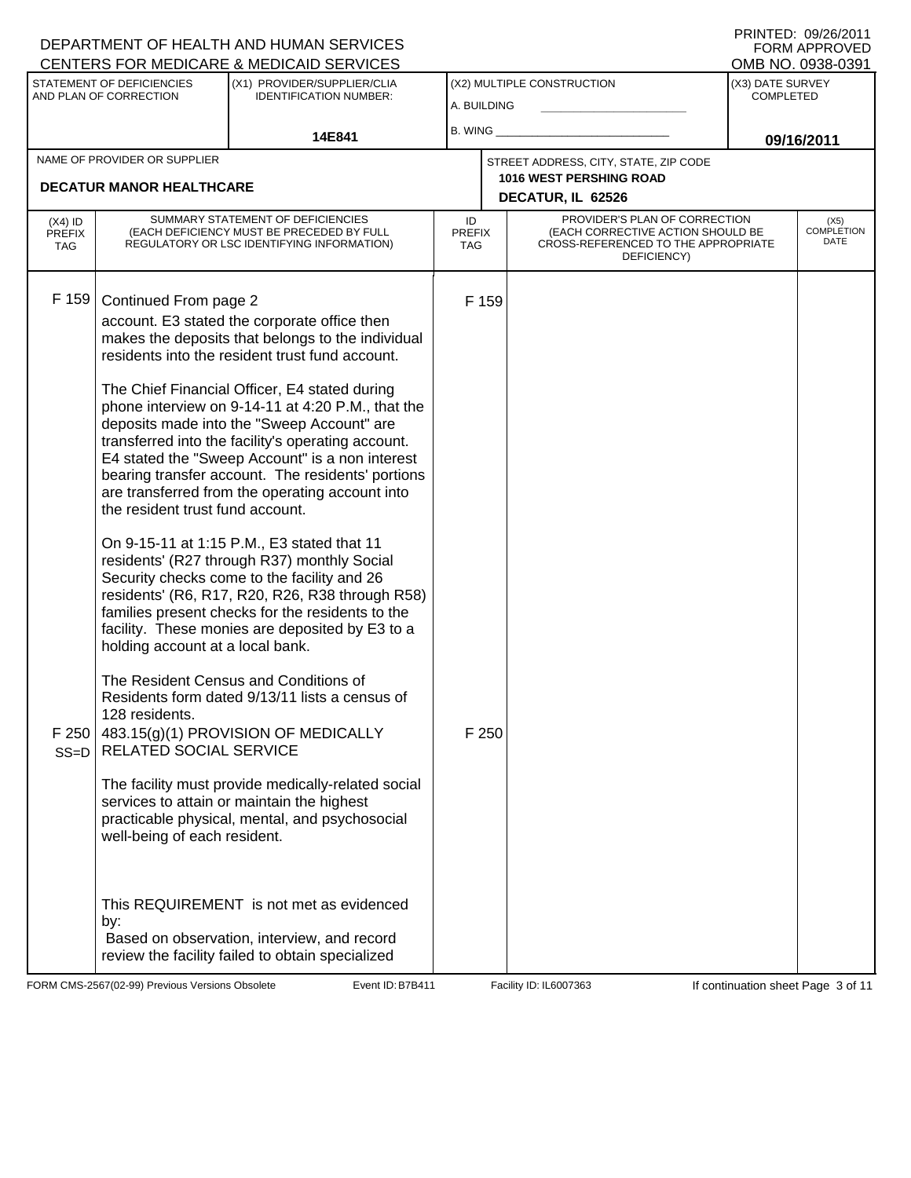|                                          |                                                                                                                                                                           | DEPARTMENT OF HEALTH AND HUMAN SERVICES<br>CENTERS FOR MEDICARE & MEDICAID SERVICES                                                                                                                                                                                                                                                                                                                                                                                                                                                                                                                                                                                                                                                                                                                                                                                                                                                                                                                                                                                                                                     |                            |                |                                                                                                                          |                                      | FNINIEU. VYZVZULI<br><b>FORM APPROVED</b><br>OMB NO. 0938-0391 |
|------------------------------------------|---------------------------------------------------------------------------------------------------------------------------------------------------------------------------|-------------------------------------------------------------------------------------------------------------------------------------------------------------------------------------------------------------------------------------------------------------------------------------------------------------------------------------------------------------------------------------------------------------------------------------------------------------------------------------------------------------------------------------------------------------------------------------------------------------------------------------------------------------------------------------------------------------------------------------------------------------------------------------------------------------------------------------------------------------------------------------------------------------------------------------------------------------------------------------------------------------------------------------------------------------------------------------------------------------------------|----------------------------|----------------|--------------------------------------------------------------------------------------------------------------------------|--------------------------------------|----------------------------------------------------------------|
|                                          | STATEMENT OF DEFICIENCIES<br>AND PLAN OF CORRECTION                                                                                                                       | (X1) PROVIDER/SUPPLIER/CLIA<br><b>IDENTIFICATION NUMBER:</b>                                                                                                                                                                                                                                                                                                                                                                                                                                                                                                                                                                                                                                                                                                                                                                                                                                                                                                                                                                                                                                                            | A. BUILDING                |                | (X2) MULTIPLE CONSTRUCTION                                                                                               | (X3) DATE SURVEY<br><b>COMPLETED</b> |                                                                |
|                                          |                                                                                                                                                                           | 14E841                                                                                                                                                                                                                                                                                                                                                                                                                                                                                                                                                                                                                                                                                                                                                                                                                                                                                                                                                                                                                                                                                                                  | B. WING                    |                |                                                                                                                          |                                      | 09/16/2011                                                     |
|                                          | NAME OF PROVIDER OR SUPPLIER                                                                                                                                              |                                                                                                                                                                                                                                                                                                                                                                                                                                                                                                                                                                                                                                                                                                                                                                                                                                                                                                                                                                                                                                                                                                                         |                            |                | STREET ADDRESS, CITY, STATE, ZIP CODE<br><b>1016 WEST PERSHING ROAD</b>                                                  |                                      |                                                                |
|                                          | <b>DECATUR MANOR HEALTHCARE</b>                                                                                                                                           |                                                                                                                                                                                                                                                                                                                                                                                                                                                                                                                                                                                                                                                                                                                                                                                                                                                                                                                                                                                                                                                                                                                         |                            |                | DECATUR, IL 62526                                                                                                        |                                      |                                                                |
| $(X4)$ ID<br><b>PREFIX</b><br><b>TAG</b> |                                                                                                                                                                           | SUMMARY STATEMENT OF DEFICIENCIES<br>(EACH DEFICIENCY MUST BE PRECEDED BY FULL<br>REGULATORY OR LSC IDENTIFYING INFORMATION)                                                                                                                                                                                                                                                                                                                                                                                                                                                                                                                                                                                                                                                                                                                                                                                                                                                                                                                                                                                            | ID<br><b>PREFIX</b><br>TAG |                | PROVIDER'S PLAN OF CORRECTION<br>(EACH CORRECTIVE ACTION SHOULD BE<br>CROSS-REFERENCED TO THE APPROPRIATE<br>DEFICIENCY) |                                      | (X5)<br><b>COMPLETION</b><br>DATE                              |
| F 159<br>F 250<br>$SS=D$                 | Continued From page 2<br>the resident trust fund account.<br>holding account at a local bank.<br>128 residents.<br>RELATED SOCIAL SERVICE<br>well-being of each resident. | account. E3 stated the corporate office then<br>makes the deposits that belongs to the individual<br>residents into the resident trust fund account.<br>The Chief Financial Officer, E4 stated during<br>phone interview on 9-14-11 at 4:20 P.M., that the<br>deposits made into the "Sweep Account" are<br>transferred into the facility's operating account.<br>E4 stated the "Sweep Account" is a non interest<br>bearing transfer account. The residents' portions<br>are transferred from the operating account into<br>On 9-15-11 at 1:15 P.M., E3 stated that 11<br>residents' (R27 through R37) monthly Social<br>Security checks come to the facility and 26<br>residents' (R6, R17, R20, R26, R38 through R58)<br>families present checks for the residents to the<br>facility. These monies are deposited by E3 to a<br>The Resident Census and Conditions of<br>Residents form dated 9/13/11 lists a census of<br>483.15(g)(1) PROVISION OF MEDICALLY<br>The facility must provide medically-related social<br>services to attain or maintain the highest<br>practicable physical, mental, and psychosocial |                            | F 159<br>F 250 |                                                                                                                          |                                      |                                                                |
|                                          | by:                                                                                                                                                                       | This REQUIREMENT is not met as evidenced<br>Based on observation, interview, and record<br>review the facility failed to obtain specialized                                                                                                                                                                                                                                                                                                                                                                                                                                                                                                                                                                                                                                                                                                                                                                                                                                                                                                                                                                             |                            |                |                                                                                                                          |                                      |                                                                |

FORM CMS-2567(02-99) Previous Versions Obsolete Event ID: B7B411 Facility ID: IL6007363 If continuation sheet Page 3 of 11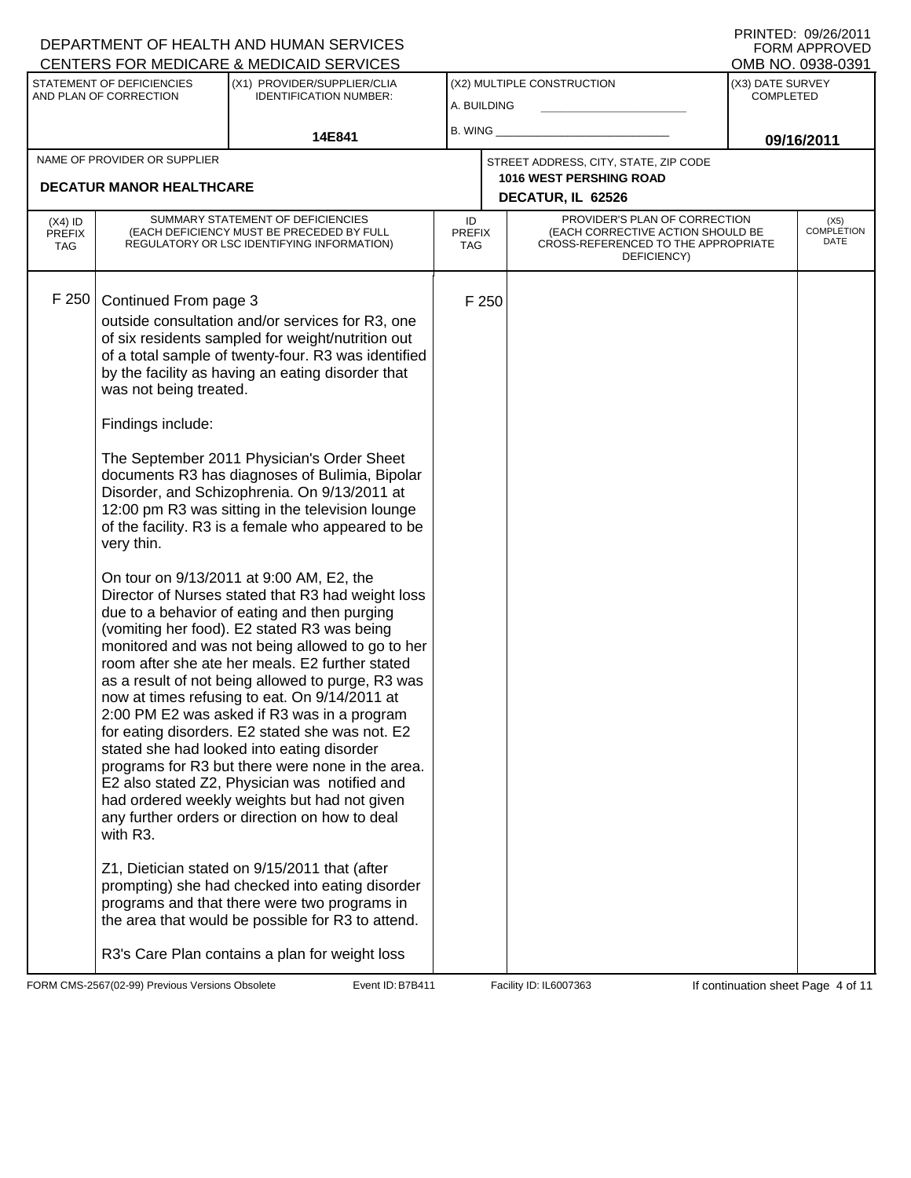|                                   |                                                                                                | DEPARTMENT OF HEALTH AND HUMAN SERVICES<br>CENTERS FOR MEDICARE & MEDICAID SERVICES                                                                                                                                                                                                                                                                                                                                                                                                                                                                                                                                                                                                                                                                                                                                                                                                                                                                                                                                                                                                                                                                                                                                                                                                                                                                                                                                                                                                                        |                                   |       |                                                                                                                          |                                                                         | FORM APPROVED                     |
|-----------------------------------|------------------------------------------------------------------------------------------------|------------------------------------------------------------------------------------------------------------------------------------------------------------------------------------------------------------------------------------------------------------------------------------------------------------------------------------------------------------------------------------------------------------------------------------------------------------------------------------------------------------------------------------------------------------------------------------------------------------------------------------------------------------------------------------------------------------------------------------------------------------------------------------------------------------------------------------------------------------------------------------------------------------------------------------------------------------------------------------------------------------------------------------------------------------------------------------------------------------------------------------------------------------------------------------------------------------------------------------------------------------------------------------------------------------------------------------------------------------------------------------------------------------------------------------------------------------------------------------------------------------|-----------------------------------|-------|--------------------------------------------------------------------------------------------------------------------------|-------------------------------------------------------------------------|-----------------------------------|
|                                   | STATEMENT OF DEFICIENCIES<br>AND PLAN OF CORRECTION                                            | (X1) PROVIDER/SUPPLIER/CLIA<br><b>IDENTIFICATION NUMBER:</b>                                                                                                                                                                                                                                                                                                                                                                                                                                                                                                                                                                                                                                                                                                                                                                                                                                                                                                                                                                                                                                                                                                                                                                                                                                                                                                                                                                                                                                               | A. BUILDING                       |       | (X2) MULTIPLE CONSTRUCTION                                                                                               | OMB NO. 0938-0391<br>(X3) DATE SURVEY<br><b>COMPLETED</b><br>09/16/2011 |                                   |
|                                   |                                                                                                | 14E841                                                                                                                                                                                                                                                                                                                                                                                                                                                                                                                                                                                                                                                                                                                                                                                                                                                                                                                                                                                                                                                                                                                                                                                                                                                                                                                                                                                                                                                                                                     | B. WING                           |       |                                                                                                                          |                                                                         |                                   |
|                                   | NAME OF PROVIDER OR SUPPLIER                                                                   |                                                                                                                                                                                                                                                                                                                                                                                                                                                                                                                                                                                                                                                                                                                                                                                                                                                                                                                                                                                                                                                                                                                                                                                                                                                                                                                                                                                                                                                                                                            |                                   |       | STREET ADDRESS, CITY, STATE, ZIP CODE<br><b>1016 WEST PERSHING ROAD</b>                                                  |                                                                         |                                   |
|                                   | <b>DECATUR MANOR HEALTHCARE</b>                                                                |                                                                                                                                                                                                                                                                                                                                                                                                                                                                                                                                                                                                                                                                                                                                                                                                                                                                                                                                                                                                                                                                                                                                                                                                                                                                                                                                                                                                                                                                                                            |                                   |       | DECATUR, IL 62526                                                                                                        |                                                                         |                                   |
| $(X4)$ ID<br><b>PREFIX</b><br>TAG |                                                                                                | SUMMARY STATEMENT OF DEFICIENCIES<br>(EACH DEFICIENCY MUST BE PRECEDED BY FULL<br>REGULATORY OR LSC IDENTIFYING INFORMATION)                                                                                                                                                                                                                                                                                                                                                                                                                                                                                                                                                                                                                                                                                                                                                                                                                                                                                                                                                                                                                                                                                                                                                                                                                                                                                                                                                                               | ID<br><b>PREFIX</b><br><b>TAG</b> |       | PROVIDER'S PLAN OF CORRECTION<br>(EACH CORRECTIVE ACTION SHOULD BE<br>CROSS-REFERENCED TO THE APPROPRIATE<br>DEFICIENCY) |                                                                         | (X5)<br><b>COMPLETION</b><br>DATE |
| F 250                             | Continued From page 3<br>was not being treated.<br>Findings include:<br>very thin.<br>with R3. | outside consultation and/or services for R3, one<br>of six residents sampled for weight/nutrition out<br>of a total sample of twenty-four. R3 was identified<br>by the facility as having an eating disorder that<br>The September 2011 Physician's Order Sheet<br>documents R3 has diagnoses of Bulimia, Bipolar<br>Disorder, and Schizophrenia. On 9/13/2011 at<br>12:00 pm R3 was sitting in the television lounge<br>of the facility. R3 is a female who appeared to be<br>On tour on 9/13/2011 at 9:00 AM, E2, the<br>Director of Nurses stated that R3 had weight loss<br>due to a behavior of eating and then purging<br>(vomiting her food). E2 stated R3 was being<br>monitored and was not being allowed to go to her<br>room after she ate her meals. E2 further stated<br>as a result of not being allowed to purge, R3 was<br>now at times refusing to eat. On 9/14/2011 at<br>2:00 PM E2 was asked if R3 was in a program<br>for eating disorders. E2 stated she was not. E2<br>stated she had looked into eating disorder<br>programs for R3 but there were none in the area.<br>E2 also stated Z2, Physician was notified and<br>had ordered weekly weights but had not given<br>any further orders or direction on how to deal<br>Z1, Dietician stated on 9/15/2011 that (after<br>prompting) she had checked into eating disorder<br>programs and that there were two programs in<br>the area that would be possible for R3 to attend.<br>R3's Care Plan contains a plan for weight loss |                                   | F 250 |                                                                                                                          |                                                                         |                                   |

FORM CMS-2567(02-99) Previous Versions Obsolete Event ID: B7B411 Facility ID: IL6007363 If continuation sheet Page 4 of 11

DEPARTMENT OF HEALTH AND HUMAN SERVICES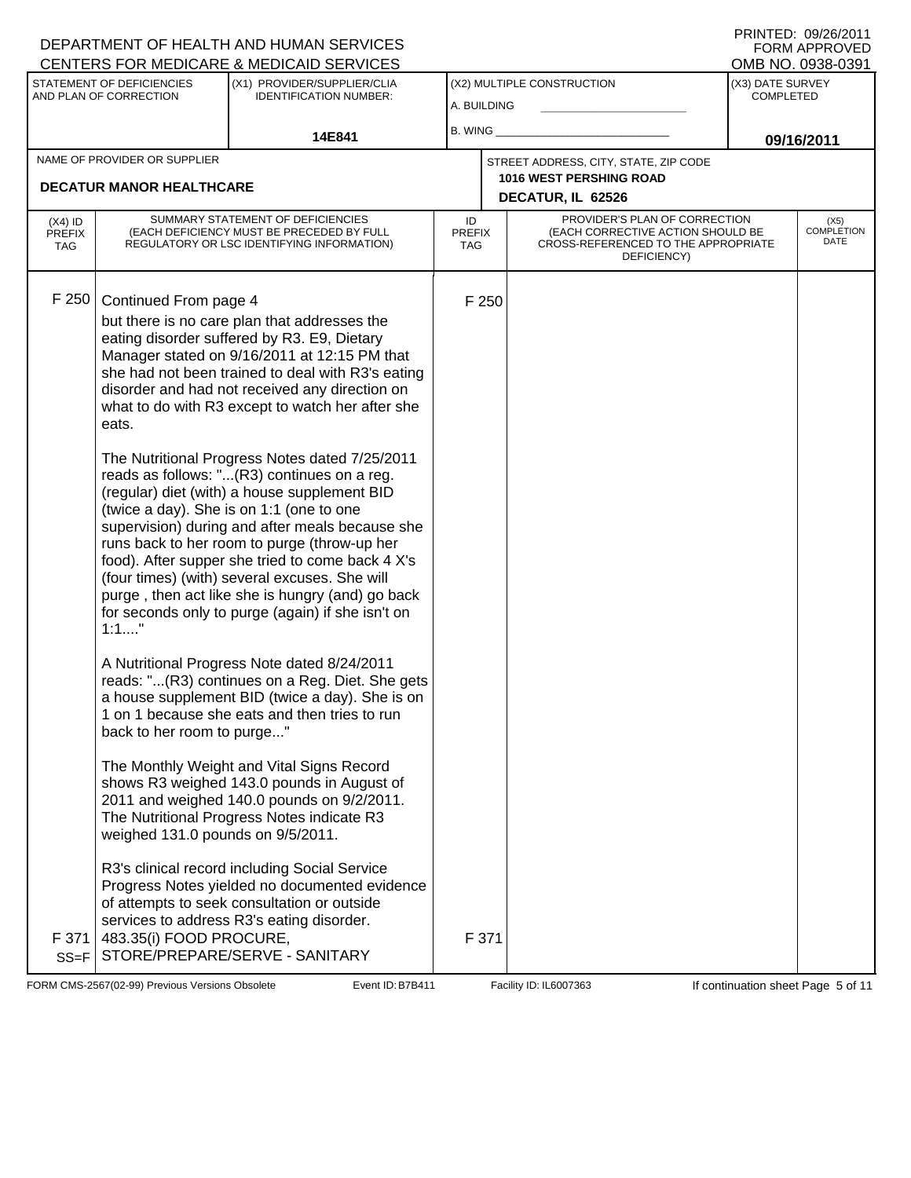## A. BUILDING (X1) PROVIDER/SUPPLIER/CLIA IDENTIFICATION NUMBER: STATEMENT OF DEFICIENCIES AND PLAN OF CORRECTION (X3) DATE SURVEY COMPLETED FORM APPROVED<br>OMB NO. 0938-0391 (X2) MULTIPLE CONSTRUCTION B. WING **\_\_\_\_\_\_\_\_\_\_\_\_\_\_\_\_\_\_\_\_\_\_** CENTERS FOR MEDICARE & MEDICAID SERVICES **14E841 09/16/2011 DECATUR, IL 62526** NAME OF PROVIDER OR SUPPLIER STREET ADDRESS, CITY, STATE, ZIP CODE **DECATUR MANOR HEALTHCARE 1016 WEST PERSHING ROAD** PROVIDER'S PLAN OF CORRECTION (EACH CORRECTIVE ACTION SHOULD BE CROSS-REFERENCED TO THE APPROPRIATE DEFICIENCY) (X5) COMPLETION DATE ID PREFIX TAG (X4) ID PREFIX TAG SUMMARY STATEMENT OF DEFICIENCIES (EACH DEFICIENCY MUST BE PRECEDED BY FULL REGULATORY OR LSC IDENTIFYING INFORMATION) F 250 Continued From page 4 F 250 but there is no care plan that addresses the eating disorder suffered by R3. E9, Dietary Manager stated on 9/16/2011 at 12:15 PM that she had not been trained to deal with R3's eating disorder and had not received any direction on what to do with R3 except to watch her after she eats. The Nutritional Progress Notes dated 7/25/2011 reads as follows: "...(R3) continues on a reg. (regular) diet (with) a house supplement BID (twice a day). She is on 1:1 (one to one supervision) during and after meals because she runs back to her room to purge (throw-up her food). After supper she tried to come back 4 X's (four times) (with) several excuses. She will purge , then act like she is hungry (and) go back for seconds only to purge (again) if she isn't on 1:1...." A Nutritional Progress Note dated 8/24/2011 reads: "...(R3) continues on a Reg. Diet. She gets a house supplement BID (twice a day). She is on 1 on 1 because she eats and then tries to run back to her room to purge..." The Monthly Weight and Vital Signs Record shows R3 weighed 143.0 pounds in August of 2011 and weighed 140.0 pounds on 9/2/2011. The Nutritional Progress Notes indicate R3 weighed 131.0 pounds on 9/5/2011. R3's clinical record including Social Service Progress Notes yielded no documented evidence of attempts to seek consultation or outside services to address R3's eating disorder. F 371 SS=F 483.35(i) FOOD PROCURE, STORE/PREPARE/SERVE - SANITARY F 371

FORM CMS-2567(02-99) Previous Versions Obsolete B7B411 Event ID: B7B411 Facility ID: IL6007363 If continuation sheet Page 5 of 11

DEPARTMENT OF HEALTH AND HUMAN SERVICES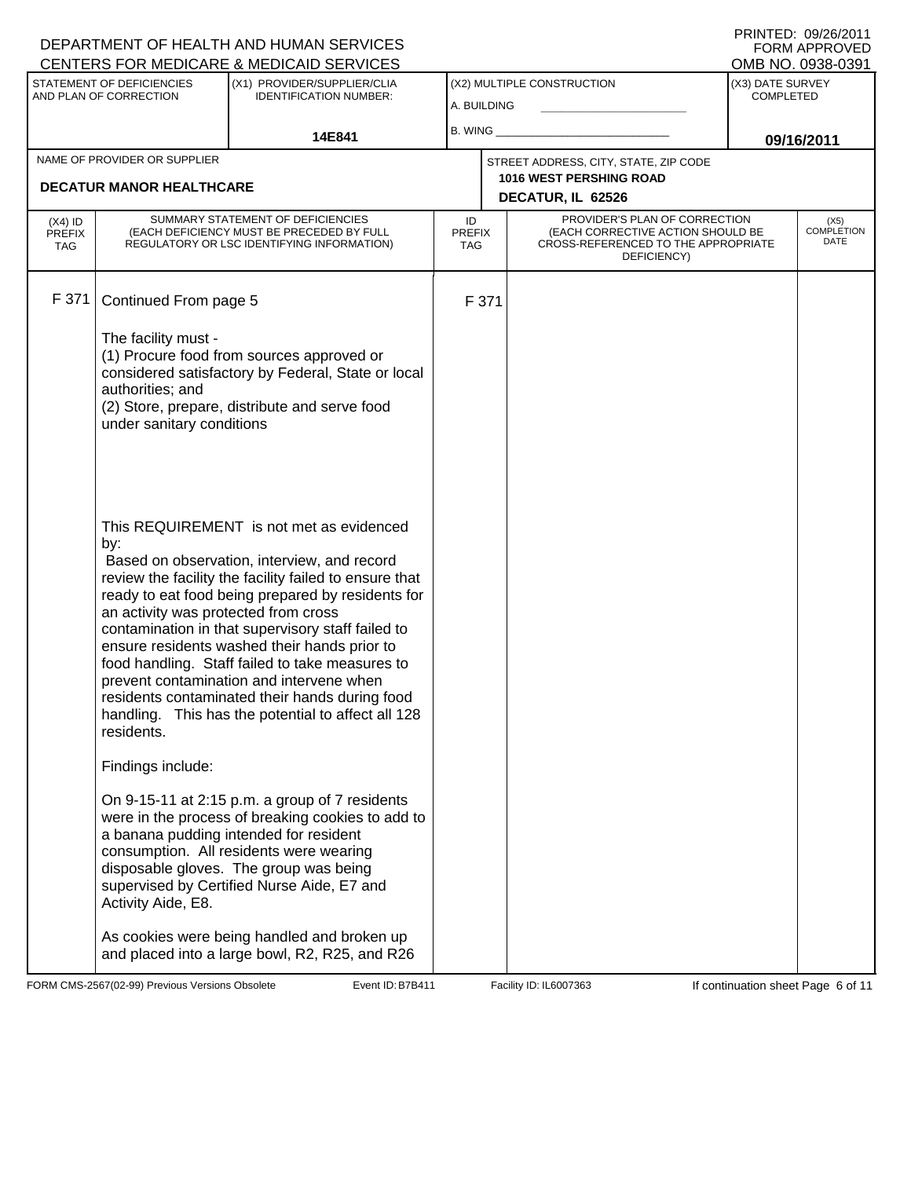|                                          |                                                                                               | DEPARTMENT OF HEALTH AND HUMAN SERVICES<br>CENTERS FOR MEDICARE & MEDICAID SERVICES                                                                                                                                                                                                                                                                                                                                                                                                                                |                                   |       |                                                                                                                          |                                      | FNINIED. VYZVZVII<br><b>FORM APPROVED</b><br>OMB NO. 0938-0391 |
|------------------------------------------|-----------------------------------------------------------------------------------------------|--------------------------------------------------------------------------------------------------------------------------------------------------------------------------------------------------------------------------------------------------------------------------------------------------------------------------------------------------------------------------------------------------------------------------------------------------------------------------------------------------------------------|-----------------------------------|-------|--------------------------------------------------------------------------------------------------------------------------|--------------------------------------|----------------------------------------------------------------|
|                                          | STATEMENT OF DEFICIENCIES<br>AND PLAN OF CORRECTION                                           | (X1) PROVIDER/SUPPLIER/CLIA<br><b>IDENTIFICATION NUMBER:</b>                                                                                                                                                                                                                                                                                                                                                                                                                                                       | A. BUILDING                       |       | (X2) MULTIPLE CONSTRUCTION                                                                                               | (X3) DATE SURVEY<br><b>COMPLETED</b> |                                                                |
|                                          |                                                                                               | 14E841                                                                                                                                                                                                                                                                                                                                                                                                                                                                                                             | B. WING                           |       |                                                                                                                          | 09/16/2011                           |                                                                |
|                                          | NAME OF PROVIDER OR SUPPLIER<br><b>DECATUR MANOR HEALTHCARE</b>                               |                                                                                                                                                                                                                                                                                                                                                                                                                                                                                                                    |                                   |       | STREET ADDRESS, CITY, STATE, ZIP CODE<br><b>1016 WEST PERSHING ROAD</b><br>DECATUR, IL 62526                             |                                      |                                                                |
| $(X4)$ ID<br><b>PREFIX</b><br><b>TAG</b> |                                                                                               | SUMMARY STATEMENT OF DEFICIENCIES<br>(EACH DEFICIENCY MUST BE PRECEDED BY FULL<br>REGULATORY OR LSC IDENTIFYING INFORMATION)                                                                                                                                                                                                                                                                                                                                                                                       | ID<br><b>PREFIX</b><br><b>TAG</b> |       | PROVIDER'S PLAN OF CORRECTION<br>(EACH CORRECTIVE ACTION SHOULD BE<br>CROSS-REFERENCED TO THE APPROPRIATE<br>DEFICIENCY) |                                      | (X5)<br><b>COMPLETION</b><br>DATE                              |
| F 371                                    | Continued From page 5<br>The facility must -<br>authorities; and<br>under sanitary conditions | (1) Procure food from sources approved or<br>considered satisfactory by Federal, State or local<br>(2) Store, prepare, distribute and serve food                                                                                                                                                                                                                                                                                                                                                                   |                                   | F 371 |                                                                                                                          |                                      |                                                                |
|                                          | by:<br>an activity was protected from cross<br>residents.                                     | This REQUIREMENT is not met as evidenced<br>Based on observation, interview, and record<br>review the facility the facility failed to ensure that<br>ready to eat food being prepared by residents for<br>contamination in that supervisory staff failed to<br>ensure residents washed their hands prior to<br>food handling. Staff failed to take measures to<br>prevent contamination and intervene when<br>residents contaminated their hands during food<br>handling. This has the potential to affect all 128 |                                   |       |                                                                                                                          |                                      |                                                                |
|                                          | Findings include:<br>Activity Aide, E8.                                                       | On 9-15-11 at 2:15 p.m. a group of 7 residents<br>were in the process of breaking cookies to add to<br>a banana pudding intended for resident<br>consumption. All residents were wearing<br>disposable gloves. The group was being<br>supervised by Certified Nurse Aide, E7 and<br>As cookies were being handled and broken up<br>and placed into a large bowl, R2, R25, and R26                                                                                                                                  |                                   |       |                                                                                                                          |                                      |                                                                |

FORM CMS-2567(02-99) Previous Versions Obsolete Event ID: B7B411 Facility ID: IL6007363 If continuation sheet Page 6 of 11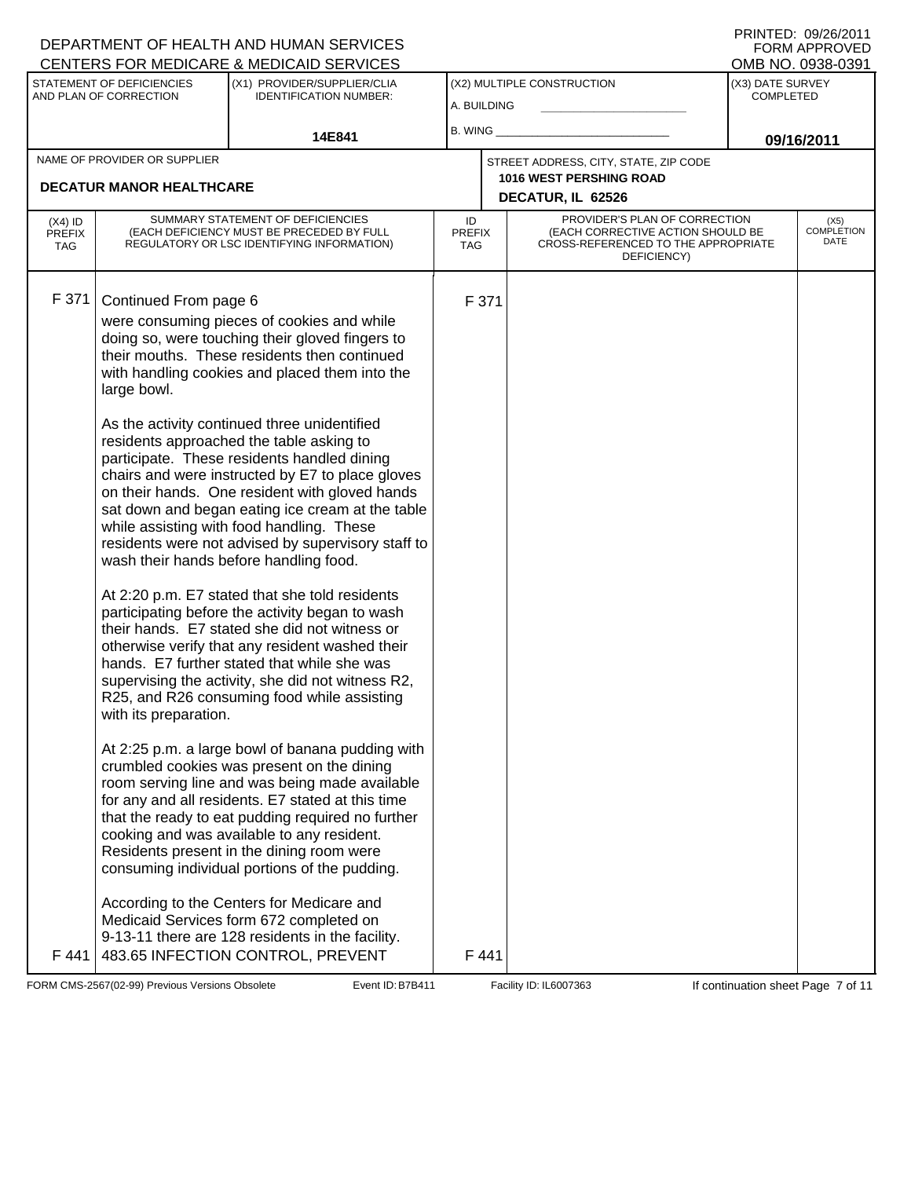|                                          |                                                               | DEPARTMENT OF HEALTH AND HUMAN SERVICES<br>CENTERS FOR MEDICARE & MEDICAID SERVICES                                                                                                                                                                                                                                                                                                                                                                                                                                                                                                                                                                                                                                                                                                                                                                                                                                                                                                                                                                                                                                                                                                                                                                                                                                                                                                                                                                                                                                                                                                                      |                                   |               |                                                                                                                          |                                      | FORM APPROVED<br>OMB NO. 0938-0391 |
|------------------------------------------|---------------------------------------------------------------|----------------------------------------------------------------------------------------------------------------------------------------------------------------------------------------------------------------------------------------------------------------------------------------------------------------------------------------------------------------------------------------------------------------------------------------------------------------------------------------------------------------------------------------------------------------------------------------------------------------------------------------------------------------------------------------------------------------------------------------------------------------------------------------------------------------------------------------------------------------------------------------------------------------------------------------------------------------------------------------------------------------------------------------------------------------------------------------------------------------------------------------------------------------------------------------------------------------------------------------------------------------------------------------------------------------------------------------------------------------------------------------------------------------------------------------------------------------------------------------------------------------------------------------------------------------------------------------------------------|-----------------------------------|---------------|--------------------------------------------------------------------------------------------------------------------------|--------------------------------------|------------------------------------|
|                                          | STATEMENT OF DEFICIENCIES<br>AND PLAN OF CORRECTION           | (X1) PROVIDER/SUPPLIER/CLIA<br><b>IDENTIFICATION NUMBER:</b>                                                                                                                                                                                                                                                                                                                                                                                                                                                                                                                                                                                                                                                                                                                                                                                                                                                                                                                                                                                                                                                                                                                                                                                                                                                                                                                                                                                                                                                                                                                                             | A. BUILDING                       |               | (X2) MULTIPLE CONSTRUCTION                                                                                               | (X3) DATE SURVEY<br><b>COMPLETED</b> |                                    |
|                                          |                                                               | 14E841                                                                                                                                                                                                                                                                                                                                                                                                                                                                                                                                                                                                                                                                                                                                                                                                                                                                                                                                                                                                                                                                                                                                                                                                                                                                                                                                                                                                                                                                                                                                                                                                   | B. WING                           |               |                                                                                                                          |                                      | 09/16/2011                         |
|                                          | NAME OF PROVIDER OR SUPPLIER                                  |                                                                                                                                                                                                                                                                                                                                                                                                                                                                                                                                                                                                                                                                                                                                                                                                                                                                                                                                                                                                                                                                                                                                                                                                                                                                                                                                                                                                                                                                                                                                                                                                          |                                   |               | STREET ADDRESS, CITY, STATE, ZIP CODE                                                                                    |                                      |                                    |
|                                          | <b>DECATUR MANOR HEALTHCARE</b>                               |                                                                                                                                                                                                                                                                                                                                                                                                                                                                                                                                                                                                                                                                                                                                                                                                                                                                                                                                                                                                                                                                                                                                                                                                                                                                                                                                                                                                                                                                                                                                                                                                          |                                   |               | 1016 WEST PERSHING ROAD<br>DECATUR, IL 62526                                                                             |                                      |                                    |
| $(X4)$ ID<br><b>PREFIX</b><br><b>TAG</b> |                                                               | SUMMARY STATEMENT OF DEFICIENCIES<br>(EACH DEFICIENCY MUST BE PRECEDED BY FULL<br>REGULATORY OR LSC IDENTIFYING INFORMATION)                                                                                                                                                                                                                                                                                                                                                                                                                                                                                                                                                                                                                                                                                                                                                                                                                                                                                                                                                                                                                                                                                                                                                                                                                                                                                                                                                                                                                                                                             | ID<br><b>PREFIX</b><br><b>TAG</b> |               | PROVIDER'S PLAN OF CORRECTION<br>(EACH CORRECTIVE ACTION SHOULD BE<br>CROSS-REFERENCED TO THE APPROPRIATE<br>DEFICIENCY) |                                      | (X5)<br><b>COMPLETION</b><br>DATE  |
| F 371<br>F 441 I                         | Continued From page 6<br>large bowl.<br>with its preparation. | were consuming pieces of cookies and while<br>doing so, were touching their gloved fingers to<br>their mouths. These residents then continued<br>with handling cookies and placed them into the<br>As the activity continued three unidentified<br>residents approached the table asking to<br>participate. These residents handled dining<br>chairs and were instructed by E7 to place gloves<br>on their hands. One resident with gloved hands<br>sat down and began eating ice cream at the table<br>while assisting with food handling. These<br>residents were not advised by supervisory staff to<br>wash their hands before handling food.<br>At 2:20 p.m. E7 stated that she told residents<br>participating before the activity began to wash<br>their hands. E7 stated she did not witness or<br>otherwise verify that any resident washed their<br>hands. E7 further stated that while she was<br>supervising the activity, she did not witness R2,<br>R25, and R26 consuming food while assisting<br>At 2:25 p.m. a large bowl of banana pudding with<br>crumbled cookies was present on the dining<br>room serving line and was being made available<br>for any and all residents. E7 stated at this time<br>that the ready to eat pudding required no further<br>cooking and was available to any resident.<br>Residents present in the dining room were<br>consuming individual portions of the pudding.<br>According to the Centers for Medicare and<br>Medicaid Services form 672 completed on<br>9-13-11 there are 128 residents in the facility.<br>483.65 INFECTION CONTROL, PREVENT |                                   | F 371<br>F441 |                                                                                                                          |                                      |                                    |

FORM CMS-2567(02-99) Previous Versions Obsolete Event ID: B7B411 Facility ID: IL6007363 If continuation sheet Page 7 of 11

DEPARTMENT OF HEALTH AND HUMAN SERVICES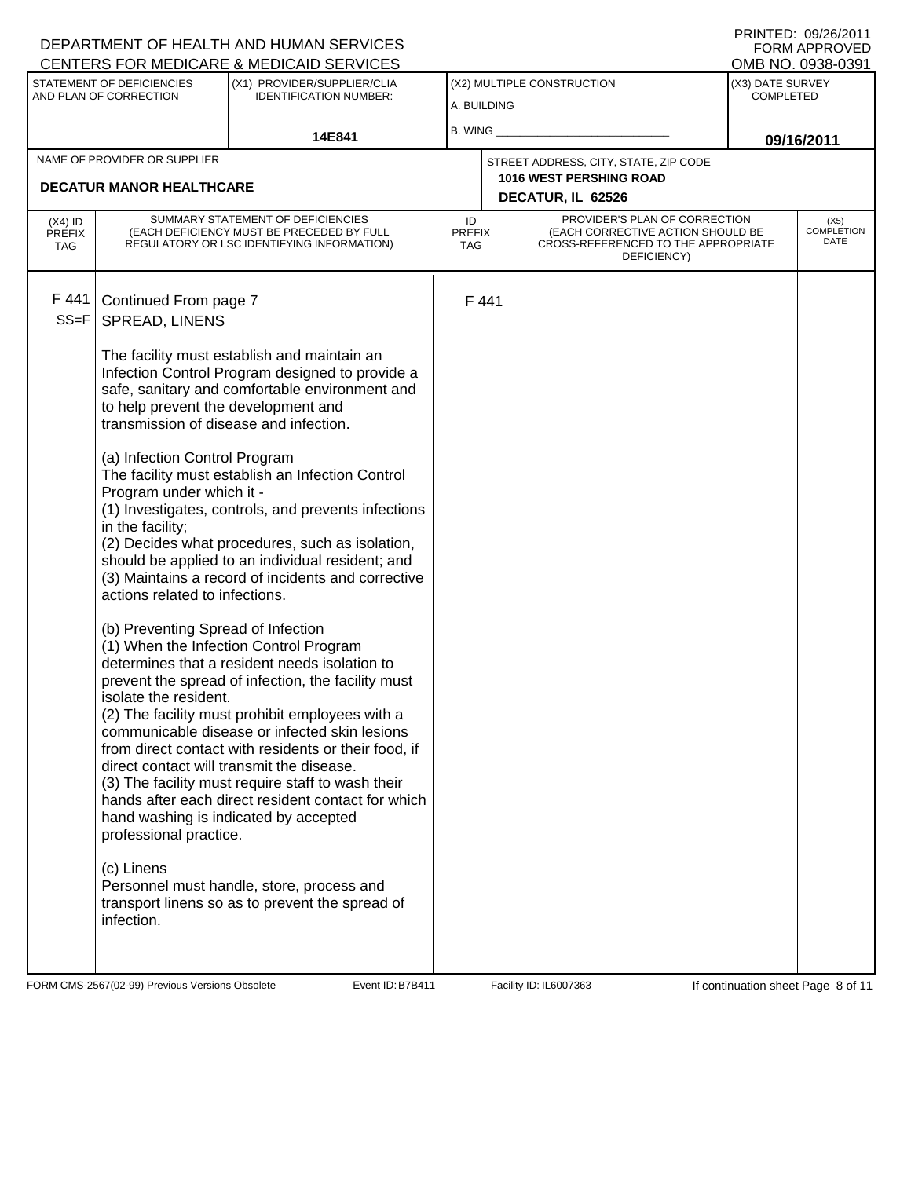|                                          |                                                                                                                                                                                                                                                                                                                                      | DEPARTMENT OF HEALTH AND HUMAN SERVICES<br>CENTERS FOR MEDICARE & MEDICAID SERVICES                                                                                                                                                                                                                                                                                                                                                                                                                                                                                                                                                                                                                                                                                                                                                                                                                                                    |                            |      |                                                                                                                          |                                      | FNINIED. UYZUZUII<br><b>FORM APPROVED</b><br>OMB NO. 0938-0391 |
|------------------------------------------|--------------------------------------------------------------------------------------------------------------------------------------------------------------------------------------------------------------------------------------------------------------------------------------------------------------------------------------|----------------------------------------------------------------------------------------------------------------------------------------------------------------------------------------------------------------------------------------------------------------------------------------------------------------------------------------------------------------------------------------------------------------------------------------------------------------------------------------------------------------------------------------------------------------------------------------------------------------------------------------------------------------------------------------------------------------------------------------------------------------------------------------------------------------------------------------------------------------------------------------------------------------------------------------|----------------------------|------|--------------------------------------------------------------------------------------------------------------------------|--------------------------------------|----------------------------------------------------------------|
|                                          | STATEMENT OF DEFICIENCIES<br>AND PLAN OF CORRECTION                                                                                                                                                                                                                                                                                  | (X1) PROVIDER/SUPPLIER/CLIA<br><b>IDENTIFICATION NUMBER:</b>                                                                                                                                                                                                                                                                                                                                                                                                                                                                                                                                                                                                                                                                                                                                                                                                                                                                           | A. BUILDING                |      | (X2) MULTIPLE CONSTRUCTION                                                                                               | (X3) DATE SURVEY<br><b>COMPLETED</b> |                                                                |
|                                          |                                                                                                                                                                                                                                                                                                                                      | 14E841                                                                                                                                                                                                                                                                                                                                                                                                                                                                                                                                                                                                                                                                                                                                                                                                                                                                                                                                 | B. WING                    |      |                                                                                                                          |                                      | 09/16/2011                                                     |
|                                          | NAME OF PROVIDER OR SUPPLIER<br><b>DECATUR MANOR HEALTHCARE</b>                                                                                                                                                                                                                                                                      |                                                                                                                                                                                                                                                                                                                                                                                                                                                                                                                                                                                                                                                                                                                                                                                                                                                                                                                                        |                            |      | STREET ADDRESS, CITY, STATE, ZIP CODE<br><b>1016 WEST PERSHING ROAD</b><br>DECATUR, IL 62526                             |                                      |                                                                |
| $(X4)$ ID<br><b>PREFIX</b><br><b>TAG</b> |                                                                                                                                                                                                                                                                                                                                      | SUMMARY STATEMENT OF DEFICIENCIES<br>(EACH DEFICIENCY MUST BE PRECEDED BY FULL<br>REGULATORY OR LSC IDENTIFYING INFORMATION)                                                                                                                                                                                                                                                                                                                                                                                                                                                                                                                                                                                                                                                                                                                                                                                                           | ID<br><b>PREFIX</b><br>TAG |      | PROVIDER'S PLAN OF CORRECTION<br>(EACH CORRECTIVE ACTION SHOULD BE<br>CROSS-REFERENCED TO THE APPROPRIATE<br>DEFICIENCY) |                                      | (X5)<br><b>COMPLETION</b><br>DATE                              |
| F 441<br>$SS = F$                        | Continued From page 7<br>SPREAD, LINENS<br>to help prevent the development and<br>transmission of disease and infection.<br>(a) Infection Control Program<br>Program under which it -<br>in the facility;<br>actions related to infections.<br>(b) Preventing Spread of Infection<br>isolate the resident.<br>professional practice. | The facility must establish and maintain an<br>Infection Control Program designed to provide a<br>safe, sanitary and comfortable environment and<br>The facility must establish an Infection Control<br>(1) Investigates, controls, and prevents infections<br>(2) Decides what procedures, such as isolation,<br>should be applied to an individual resident; and<br>(3) Maintains a record of incidents and corrective<br>(1) When the Infection Control Program<br>determines that a resident needs isolation to<br>prevent the spread of infection, the facility must<br>(2) The facility must prohibit employees with a<br>communicable disease or infected skin lesions<br>from direct contact with residents or their food, if<br>direct contact will transmit the disease.<br>(3) The facility must require staff to wash their<br>hands after each direct resident contact for which<br>hand washing is indicated by accepted |                            | F441 |                                                                                                                          |                                      |                                                                |
|                                          | (c) Linens<br>infection.                                                                                                                                                                                                                                                                                                             | Personnel must handle, store, process and<br>transport linens so as to prevent the spread of                                                                                                                                                                                                                                                                                                                                                                                                                                                                                                                                                                                                                                                                                                                                                                                                                                           |                            |      |                                                                                                                          |                                      |                                                                |

FORM CMS-2567(02-99) Previous Versions Obsolete Event ID: B7B411 Facility ID: IL6007363 If continuation sheet Page 8 of 11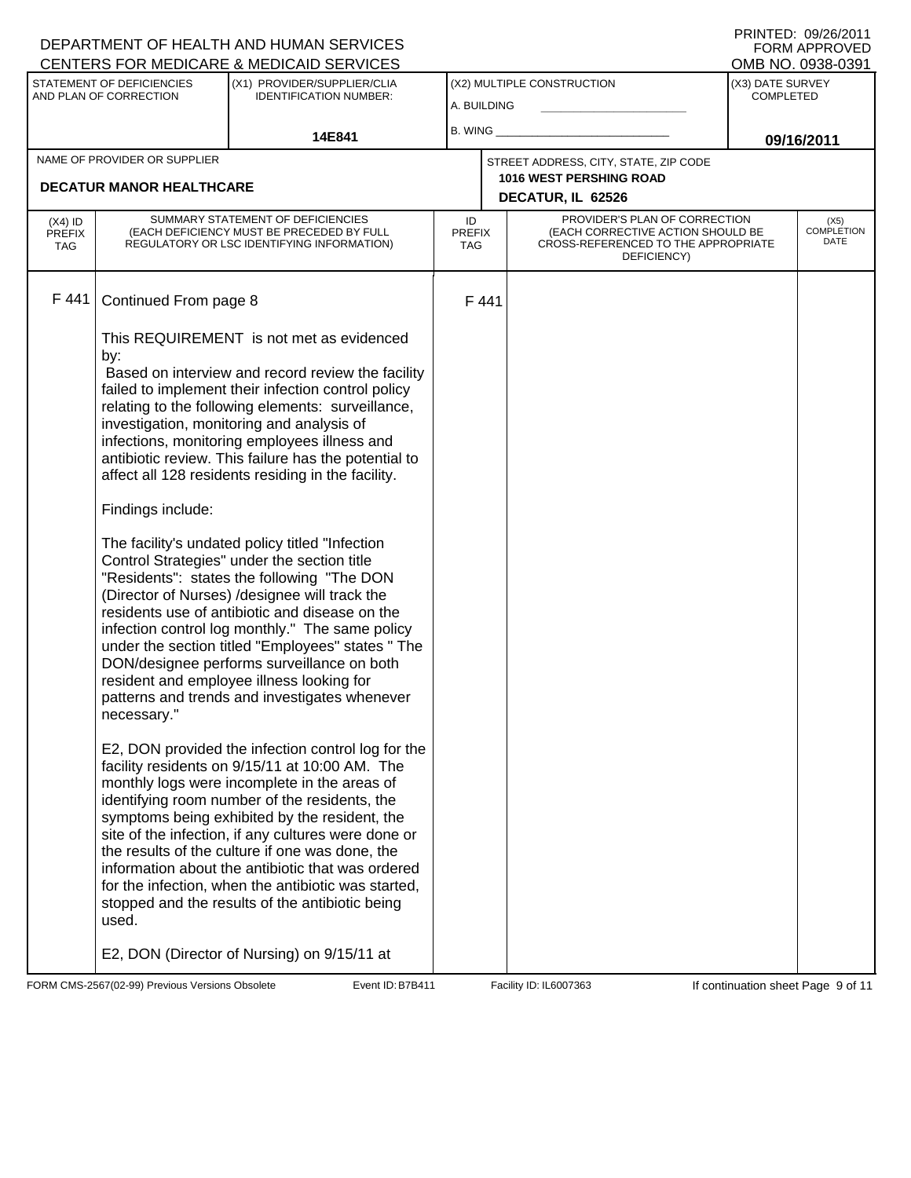|                                          |                                                                           | DEPARTMENT OF HEALTH AND HUMAN SERVICES<br>CENTERS FOR MEDICARE & MEDICAID SERVICES                                                                                                                                                                                                                                                                                                                                                                                                                                                                                                                                                                                                                                                                                                                                                                                                                                                                                                                                                                                                                                                                                                                                                                                                                                                                                                                                                                           |                                   |      |                                                                                                                          |                                      | FNINIEU. VYZVZULI<br><b>FORM APPROVED</b><br>OMB NO. 0938-0391 |
|------------------------------------------|---------------------------------------------------------------------------|---------------------------------------------------------------------------------------------------------------------------------------------------------------------------------------------------------------------------------------------------------------------------------------------------------------------------------------------------------------------------------------------------------------------------------------------------------------------------------------------------------------------------------------------------------------------------------------------------------------------------------------------------------------------------------------------------------------------------------------------------------------------------------------------------------------------------------------------------------------------------------------------------------------------------------------------------------------------------------------------------------------------------------------------------------------------------------------------------------------------------------------------------------------------------------------------------------------------------------------------------------------------------------------------------------------------------------------------------------------------------------------------------------------------------------------------------------------|-----------------------------------|------|--------------------------------------------------------------------------------------------------------------------------|--------------------------------------|----------------------------------------------------------------|
|                                          | STATEMENT OF DEFICIENCIES<br>AND PLAN OF CORRECTION                       | (X1) PROVIDER/SUPPLIER/CLIA<br><b>IDENTIFICATION NUMBER:</b>                                                                                                                                                                                                                                                                                                                                                                                                                                                                                                                                                                                                                                                                                                                                                                                                                                                                                                                                                                                                                                                                                                                                                                                                                                                                                                                                                                                                  | A. BUILDING                       |      | (X2) MULTIPLE CONSTRUCTION                                                                                               | (X3) DATE SURVEY<br><b>COMPLETED</b> |                                                                |
|                                          |                                                                           | 14E841                                                                                                                                                                                                                                                                                                                                                                                                                                                                                                                                                                                                                                                                                                                                                                                                                                                                                                                                                                                                                                                                                                                                                                                                                                                                                                                                                                                                                                                        | B. WING                           |      |                                                                                                                          |                                      | 09/16/2011                                                     |
|                                          | NAME OF PROVIDER OR SUPPLIER<br><b>DECATUR MANOR HEALTHCARE</b>           |                                                                                                                                                                                                                                                                                                                                                                                                                                                                                                                                                                                                                                                                                                                                                                                                                                                                                                                                                                                                                                                                                                                                                                                                                                                                                                                                                                                                                                                               |                                   |      | STREET ADDRESS, CITY, STATE, ZIP CODE<br><b>1016 WEST PERSHING ROAD</b><br>DECATUR, IL 62526                             |                                      |                                                                |
| $(X4)$ ID<br><b>PREFIX</b><br><b>TAG</b> |                                                                           | SUMMARY STATEMENT OF DEFICIENCIES<br>(EACH DEFICIENCY MUST BE PRECEDED BY FULL<br>REGULATORY OR LSC IDENTIFYING INFORMATION)                                                                                                                                                                                                                                                                                                                                                                                                                                                                                                                                                                                                                                                                                                                                                                                                                                                                                                                                                                                                                                                                                                                                                                                                                                                                                                                                  | ID<br><b>PREFIX</b><br><b>TAG</b> |      | PROVIDER'S PLAN OF CORRECTION<br>(EACH CORRECTIVE ACTION SHOULD BE<br>CROSS-REFERENCED TO THE APPROPRIATE<br>DEFICIENCY) |                                      | (X5)<br><b>COMPLETION</b><br>DATE                              |
| F 441                                    | Continued From page 8<br>by:<br>Findings include:<br>necessary."<br>used. | This REQUIREMENT is not met as evidenced<br>Based on interview and record review the facility<br>failed to implement their infection control policy<br>relating to the following elements: surveillance,<br>investigation, monitoring and analysis of<br>infections, monitoring employees illness and<br>antibiotic review. This failure has the potential to<br>affect all 128 residents residing in the facility.<br>The facility's undated policy titled "Infection<br>Control Strategies" under the section title<br>"Residents": states the following "The DON<br>(Director of Nurses) /designee will track the<br>residents use of antibiotic and disease on the<br>infection control log monthly." The same policy<br>under the section titled "Employees" states " The<br>DON/designee performs surveillance on both<br>resident and employee illness looking for<br>patterns and trends and investigates whenever<br>E2, DON provided the infection control log for the<br>facility residents on 9/15/11 at 10:00 AM. The<br>monthly logs were incomplete in the areas of<br>identifying room number of the residents, the<br>symptoms being exhibited by the resident, the<br>site of the infection, if any cultures were done or<br>the results of the culture if one was done, the<br>information about the antibiotic that was ordered<br>for the infection, when the antibiotic was started,<br>stopped and the results of the antibiotic being |                                   | F441 |                                                                                                                          |                                      |                                                                |
|                                          |                                                                           | E2, DON (Director of Nursing) on 9/15/11 at                                                                                                                                                                                                                                                                                                                                                                                                                                                                                                                                                                                                                                                                                                                                                                                                                                                                                                                                                                                                                                                                                                                                                                                                                                                                                                                                                                                                                   |                                   |      |                                                                                                                          |                                      |                                                                |

FORM CMS-2567(02-99) Previous Versions Obsolete Event ID: B7B411 Facility ID: IL6007363 If continuation sheet Page 9 of 11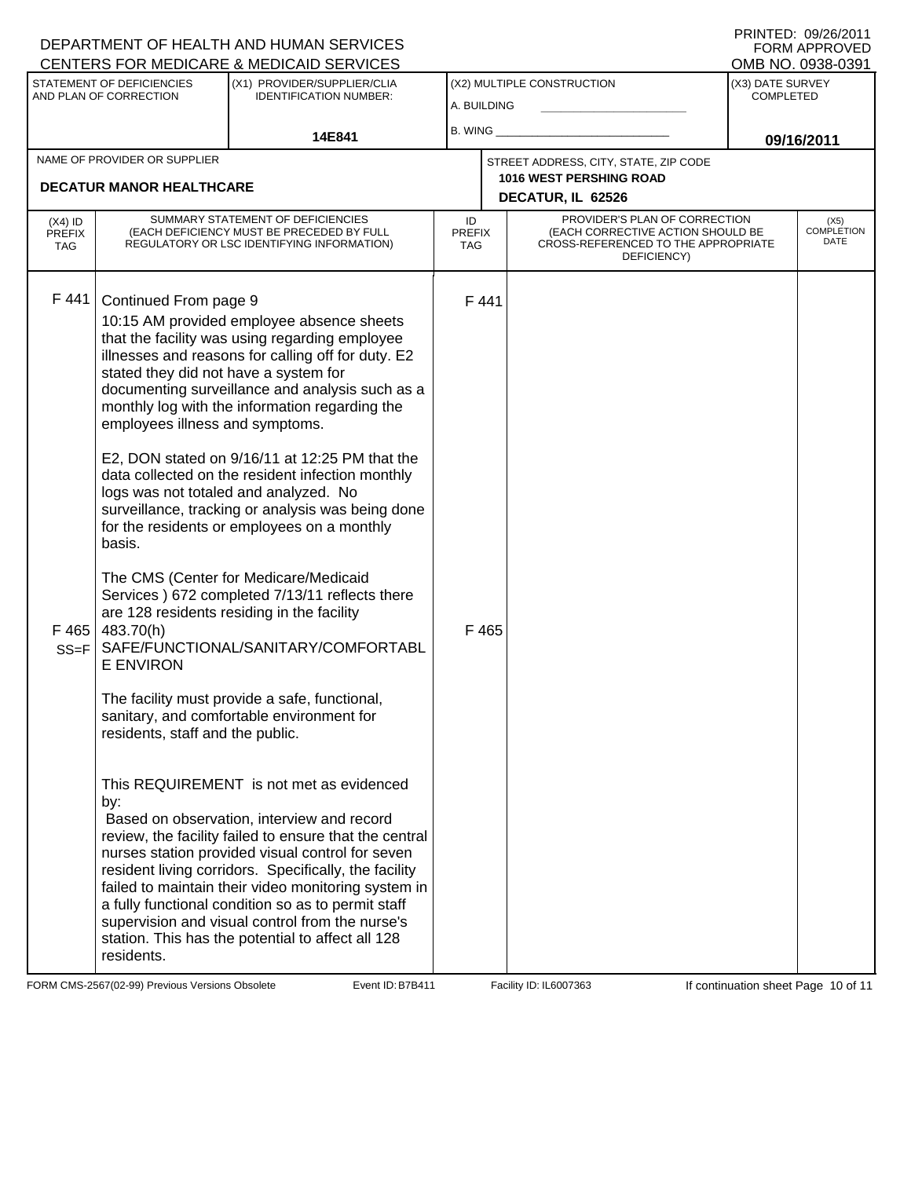|                                          |                                                                                                                                                                                                       | DEPARTMENT OF HEALTH AND HUMAN SERVICES<br>CENTERS FOR MEDICARE & MEDICAID SERVICES                                                                                                                                                                                                                                                                                                                                                                                                                                                                                                                                                                                                                                                                                                                                                                                                                                                                                                                                                                                                                                                                                                                                                                                            |                                   |               |                                                                                                                          |                                      | FNINIED. VYZVZVII<br><b>FORM APPROVED</b><br>OMB NO. 0938-0391 |  |
|------------------------------------------|-------------------------------------------------------------------------------------------------------------------------------------------------------------------------------------------------------|--------------------------------------------------------------------------------------------------------------------------------------------------------------------------------------------------------------------------------------------------------------------------------------------------------------------------------------------------------------------------------------------------------------------------------------------------------------------------------------------------------------------------------------------------------------------------------------------------------------------------------------------------------------------------------------------------------------------------------------------------------------------------------------------------------------------------------------------------------------------------------------------------------------------------------------------------------------------------------------------------------------------------------------------------------------------------------------------------------------------------------------------------------------------------------------------------------------------------------------------------------------------------------|-----------------------------------|---------------|--------------------------------------------------------------------------------------------------------------------------|--------------------------------------|----------------------------------------------------------------|--|
|                                          | <b>STATEMENT OF DEFICIENCIES</b><br>AND PLAN OF CORRECTION                                                                                                                                            | (X1) PROVIDER/SUPPLIER/CLIA<br><b>IDENTIFICATION NUMBER:</b>                                                                                                                                                                                                                                                                                                                                                                                                                                                                                                                                                                                                                                                                                                                                                                                                                                                                                                                                                                                                                                                                                                                                                                                                                   | A. BUILDING                       |               | (X2) MULTIPLE CONSTRUCTION                                                                                               | (X3) DATE SURVEY<br><b>COMPLETED</b> |                                                                |  |
|                                          |                                                                                                                                                                                                       | 14E841                                                                                                                                                                                                                                                                                                                                                                                                                                                                                                                                                                                                                                                                                                                                                                                                                                                                                                                                                                                                                                                                                                                                                                                                                                                                         | B. WING                           |               |                                                                                                                          |                                      | 09/16/2011                                                     |  |
|                                          | NAME OF PROVIDER OR SUPPLIER<br><b>DECATUR MANOR HEALTHCARE</b>                                                                                                                                       |                                                                                                                                                                                                                                                                                                                                                                                                                                                                                                                                                                                                                                                                                                                                                                                                                                                                                                                                                                                                                                                                                                                                                                                                                                                                                |                                   |               | STREET ADDRESS, CITY, STATE, ZIP CODE<br><b>1016 WEST PERSHING ROAD</b><br>DECATUR, IL 62526                             |                                      |                                                                |  |
| $(X4)$ ID<br><b>PREFIX</b><br><b>TAG</b> |                                                                                                                                                                                                       | SUMMARY STATEMENT OF DEFICIENCIES<br>(EACH DEFICIENCY MUST BE PRECEDED BY FULL<br>REGULATORY OR LSC IDENTIFYING INFORMATION)                                                                                                                                                                                                                                                                                                                                                                                                                                                                                                                                                                                                                                                                                                                                                                                                                                                                                                                                                                                                                                                                                                                                                   | ID<br><b>PREFIX</b><br><b>TAG</b> |               | PROVIDER'S PLAN OF CORRECTION<br>(EACH CORRECTIVE ACTION SHOULD BE<br>CROSS-REFERENCED TO THE APPROPRIATE<br>DEFICIENCY) |                                      | (X5)<br><b>COMPLETION</b><br>DATE                              |  |
| F441<br>F465<br>$SS = F$                 | Continued From page 9<br>stated they did not have a system for<br>employees illness and symptoms.<br>basis.<br>483.70(h)<br><b>E ENVIRON</b><br>residents, staff and the public.<br>by:<br>residents. | 10:15 AM provided employee absence sheets<br>that the facility was using regarding employee<br>illnesses and reasons for calling off for duty. E2<br>documenting surveillance and analysis such as a<br>monthly log with the information regarding the<br>E2, DON stated on 9/16/11 at 12:25 PM that the<br>data collected on the resident infection monthly<br>logs was not totaled and analyzed. No<br>surveillance, tracking or analysis was being done<br>for the residents or employees on a monthly<br>The CMS (Center for Medicare/Medicaid<br>Services ) 672 completed 7/13/11 reflects there<br>are 128 residents residing in the facility<br>SAFE/FUNCTIONAL/SANITARY/COMFORTABL<br>The facility must provide a safe, functional,<br>sanitary, and comfortable environment for<br>This REQUIREMENT is not met as evidenced<br>Based on observation, interview and record<br>review, the facility failed to ensure that the central<br>nurses station provided visual control for seven<br>resident living corridors. Specifically, the facility<br>failed to maintain their video monitoring system in<br>a fully functional condition so as to permit staff<br>supervision and visual control from the nurse's<br>station. This has the potential to affect all 128 |                                   | F441<br>F 465 |                                                                                                                          |                                      |                                                                |  |

FORM CMS-2567(02-99) Previous Versions Obsolete Event ID: B7B411 Facility ID: IL6007363 If continuation sheet Page 10 of 11